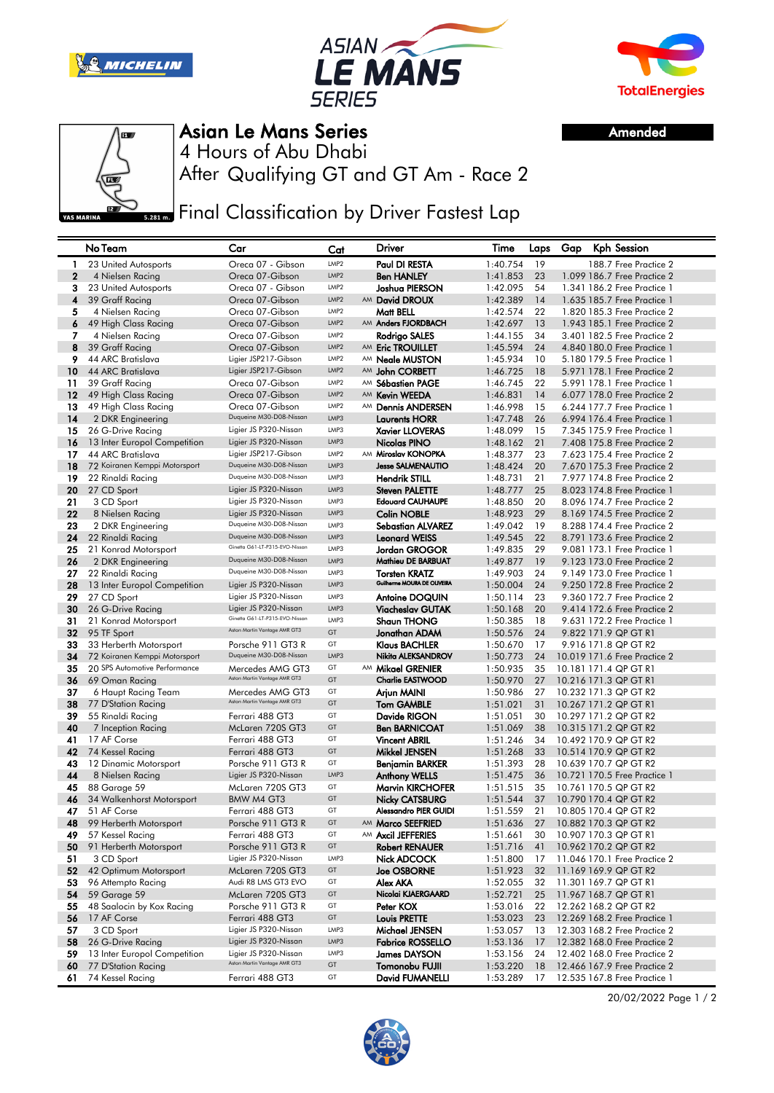





Amended



Asian Le Mans Series

After Qualifying GT and GT Am - Race 2 4 Hours of Abu Dhabi

**Final Classification by Driver Fastest Lap** 

|              | No Team                                   | Car                                              | Cat              | Driver                                  | Time                 | Laps     | Gap | Kph Session                                    |
|--------------|-------------------------------------------|--------------------------------------------------|------------------|-----------------------------------------|----------------------|----------|-----|------------------------------------------------|
| $\mathbf{1}$ | 23 United Autosports                      | Oreca 07 - Gibson                                | LMP <sub>2</sub> | Paul DI RESTA                           | 1:40.754             | 19       |     | 188.7 Free Practice 2                          |
| $\mathbf{2}$ | 4 Nielsen Racing                          | Oreca 07-Gibson                                  | LMP <sub>2</sub> | <b>Ben HANLEY</b>                       | 1:41.853             | 23       |     | 1.099 186.7 Free Practice 2                    |
| 3            | 23 United Autosports                      | Oreca 07 - Gibson                                | LMP <sub>2</sub> | Joshua PIERSON                          | 1:42.095             | 54       |     | 1,341 186.2 Free Practice 1                    |
| 4            | 39 Graff Racing                           | Oreca 07-Gibson                                  | LMP <sub>2</sub> | AM David DROUX                          | 1:42.389             | 14       |     | 1.635 185.7 Free Practice 1                    |
| 5            | 4 Nielsen Racing                          | Oreca 07-Gibson                                  | LMP <sub>2</sub> | Matt BELL                               | 1:42.574             | 22       |     | 1.820 185.3 Free Practice 2                    |
| 6            | 49 High Class Racing                      | Oreca 07-Gibson                                  | LMP <sub>2</sub> | AM Anders FJORDBACH                     | 1:42.697             | 13       |     | 1.943 185.1 Free Practice 2                    |
| 7            | 4 Nielsen Racing                          | Oreca 07-Gibson                                  | LMP <sub>2</sub> | Rodrigo SALES                           | 1:44.155             | 34       |     | 3.401 182.5 Free Practice 2                    |
| 8            | 39 Graff Racing                           | Oreca 07-Gibson                                  | LMP <sub>2</sub> | AM Eric TROUILLET                       | 1:45.594             | 24       |     | 4.840 180.0 Free Practice 1                    |
| 9            | 44 ARC Bratislava                         | Ligier JSP217-Gibson                             | LMP <sub>2</sub> | AM Neale MUSTON                         | 1:45.934             | 10       |     | 5.180 179.5 Free Practice 1                    |
| 10           | 44 ARC Bratislava                         | Ligier JSP217-Gibson                             | LMP <sub>2</sub> | AM John CORBETT                         | 1:46.725             | 18       |     | 5.971 178.1 Free Practice 2                    |
| 11           | 39 Graff Racing                           | Oreca 07-Gibson                                  | LMP <sub>2</sub> | AM Sébastien PAGE                       | 1:46.745             | 22       |     | 5.991 178.1 Free Practice 1                    |
| 12           | 49 High Class Racing                      | Oreca 07-Gibson                                  | LMP <sub>2</sub> | AM Kevin WEEDA                          | 1:46.831             | 14       |     | 6.077 178.0 Free Practice 2                    |
| 13           | 49 High Class Racing                      | Oreca 07-Gibson                                  | LMP <sub>2</sub> | AM Dennis ANDERSEN                      | 1:46.998             | 15       |     | 6.244 177.7 Free Practice 1                    |
| 14           | 2 DKR Engineering                         | Duqueine M30-D08-Nissan                          | LMP3             | <b>Laurents HORR</b>                    | 1:47.748             | 26       |     | 6.994 176.4 Free Practice 1                    |
| 15           | 26 G-Drive Racing                         | Ligier JS P320-Nissan                            | LMP3             | <b>Xavier LLOVERAS</b>                  | 1:48.099             | 15       |     | 7.345 175.9 Free Practice 1                    |
| 16           | 13 Inter Europol Competition              | Ligier JS P320-Nissan                            | LMP3             | Nicolas PINO                            | 1:48.162             | 21       |     | 7.408 175.8 Free Practice 2                    |
| 17           | 44 ARC Bratislava                         | Ligier JSP217-Gibson                             | LMP <sub>2</sub> | AM Miroslav KONOPKA                     | 1:48.377             | 23       |     | 7.623 175.4 Free Practice 2                    |
| 18           | 72 Koiranen Kemppi Motorsport             | Duqueine M30-D08-Nissan                          | LMP3             | <b>Jesse SALMENAUTIO</b>                | 1:48.424             | 20       |     | 7.670 175.3 Free Practice 2                    |
| 19           | 22 Rinaldi Racing                         | Duqueine M30-D08-Nissan                          | LMP3             | <b>Hendrik STILL</b>                    | 1:48.731             | 21       |     | 7.977 174.8 Free Practice 2                    |
| 20           | 27 CD Sport                               | Ligier JS P320-Nissan                            | LMP3             | <b>Steven PALETTE</b>                   | 1:48.777             | 25       |     | 8.023 174.8 Free Practice 1                    |
| 21           | 3 CD Sport                                | Ligier JS P320-Nissan                            | LMP3             | <b>Edouard CAUHAUPE</b>                 | 1:48.850             | 20       |     | 8.096 174.7 Free Practice 2                    |
| 22           | 8 Nielsen Racing                          | Ligier JS P320-Nissan                            | LMP3             | <b>Colin NOBLE</b>                      | 1:48.923             | 29       |     | 8.169 174.5 Free Practice 2                    |
| 23           | 2 DKR Engineering                         | Duqueine M30-D08-Nissan                          | LMP3             | <b>Sebastian ALVAREZ</b>                | 1:49.042             | 19       |     | 8.288 174.4 Free Practice 2                    |
| 24           | 22 Rinaldi Racing                         | Duqueine M30-D08-Nissan                          | LMP3             | <b>Leonard WEISS</b>                    | 1:49.545             | 22       |     | 8.791 173.6 Free Practice 2                    |
| 25           | 21 Konrad Motorsport                      | Ginetta G61-LT-P315-EVO-Nissan                   | LMP3             | <b>Jordan GROGOR</b>                    | 1:49.835             | 29       |     | 9.081 173.1 Free Practice 1                    |
| 26           | 2 DKR Engineering                         | Duqueine M30-D08-Nissan                          | LMP3             | Mathieu DE BARBUAT                      | 1:49.877             | 19       |     | 9.123 173.0 Free Practice 2                    |
| 27           | 22 Rinaldi Racing                         | Duqueine M30-D08-Nissan                          | LMP3             | <b>Torsten KRATZ</b>                    | 1:49.903             | 24       |     | 9.149 173.0 Free Practice 1                    |
| 28           | 13 Inter Europol Competition              | Ligier JS P320-Nissan                            | LMP3             | Guilherme MOURA DE OLIVEIRA             | 1:50.004             | 24       |     | 9.250 172.8 Free Practice 2                    |
| 29           | 27 CD Sport                               | Ligier JS P320-Nissan                            | LMP3             | <b>Antoine DOQUIN</b>                   | 1:50.114             | 23       |     | 9.360 172.7 Free Practice 2                    |
| 30           | 26 G-Drive Racing                         | Ligier JS P320-Nissan                            | LMP3             | <b>Viacheslav GUTAK</b>                 | 1:50.168             | 20       |     | 9.414 172.6 Free Practice 2                    |
| 31           | 21 Konrad Motorsport                      | Ginetta G61-LT-P315-EVO-Nissan                   | LMP3             | <b>Shaun THONG</b>                      | 1:50.385             | 18       |     | 9.631 172.2 Free Practice 1                    |
| 32           | 95 TF Sport                               | Aston Martin Vantage AMR GT3                     | GT               | Jonathan ADAM                           | 1:50.576             | 24       |     | 9.822 171.9 QP GT R1                           |
| 33           | 33 Herberth Motorsport                    | Porsche 911 GT3 R                                | GT               | <b>Klaus BACHLER</b>                    | 1:50.670             | 17       |     | 9.916 171.8 QP GT R2                           |
| 34           | 72 Koiranen Kemppi Motorsport             | Duqueine M30-D08-Nissan                          | LMP3             | Nikita ALEKSANDROV                      | 1:50.773             | 24       |     | 10.019 171.6 Free Practice 2                   |
| 35           | 20 SPS Automotive Performance             | Mercedes AMG GT3                                 | GT               | AM Mikael GRENIER                       | 1:50.935             | 35       |     | 10.181 171.4 QP GT R1                          |
| 36           | 69 Oman Racing                            | Aston Martin Vantage AMR GT3                     | GT               | <b>Charlie EASTWOOD</b>                 | 1:50.970             | 27       |     | 10.216 171.3 QP GT R1                          |
| 37           | 6 Haupt Racing Team                       | Mercedes AMG GT3<br>Aston Martin Vantage AMR GT3 | GT               | Arjun MAINI                             | 1:50.986             | 27       |     | 10.232 171.3 QP GT R2                          |
| 38           | 77 D'Station Racing                       |                                                  | GT               | <b>Tom GAMBLE</b>                       | 1:51.021             | 31       |     | 10.267 171.2 QP GT R1                          |
| 39           | 55 Rinaldi Racing                         | Ferrari 488 GT3                                  | GT               | Davide RIGON                            | 1:51.051             | 30       |     | 10.297 171.2 QP GT R2                          |
| 40           | 7 Inception Racing                        | McLaren 720S GT3                                 | GT<br>GT         | <b>Ben BARNICOAT</b>                    | 1:51.069             | 38       |     | 10.315 171.2 QP GT R2                          |
| 41           | 17 AF Corse                               | Ferrari 488 GT3                                  | GT               | <b>Vincent ABRIL</b>                    | 1:51.246             | 34       |     | 10.492 170.9 QP GT R2                          |
| 42<br>43     | 74 Kessel Racing                          | Ferrari 488 GT3                                  | GT               | Mikkel JENSEN                           | 1:51.268<br>1:51.393 | 33<br>28 |     | 10.514 170.9 QP GT R2<br>10.639 170.7 QP GT R2 |
| 44           | 12 Dinamic Motorsport<br>8 Nielsen Racing | Porsche 911 GT3 R<br>Ligier JS P320-Nissan       | LMP3             | Benjamin BARKER<br><b>Anthony WELLS</b> |                      | 36       |     | 10.721 170.5 Free Practice 1                   |
| 45           | 88 Garage 59                              | McLaren 720S GT3                                 | GT               | <b>Marvin KIRCHOFER</b>                 | 1:51.475<br>1:51.515 | 35       |     | 10.761 170.5 QP GT R2                          |
| 46           | 34 Walkenhorst Motorsport                 | <b>BMW M4 GT3</b>                                | GT               | Nicky CATSBURG                          | 1:51.544             | 37       |     | 10.790 170.4 QP GT R2                          |
| 47           | 51 AF Corse                               | Ferrari 488 GT3                                  | GT               | <b>Alessandro PIER GUIDI</b>            | 1:51.559             | 21       |     | 10.805 170.4 QP GT R2                          |
| 48           | 99 Herberth Motorsport                    | Porsche 911 GT3 R                                | GT               | AM Marco SEEFRIED                       | 1:51.636             | 27       |     | 10.882 170.3 QP GT R2                          |
| 49           | 57 Kessel Racing                          | Ferrari 488 GT3                                  | GT               | AM Axcil JEFFERIES                      | 1:51.661             | 30       |     | 10.907 170.3 QP GT R1                          |
| 50           | 91 Herberth Motorsport                    | Porsche 911 GT3 R                                | GT               | <b>Robert RENAUER</b>                   | 1:51.716             | 41       |     | 10.962 170.2 QP GT R2                          |
| 51           | 3 CD Sport                                | Ligier JS P320-Nissan                            | LMP3             | Nick ADCOCK                             | 1:51.800             | 17       |     | 11.046 170.1 Free Practice 2                   |
| 52           | 42 Optimum Motorsport                     | McLaren 720S GT3                                 | GT               | <b>Joe OSBORNE</b>                      | 1:51.923             | 32       |     | 11.169 169.9 QP GT R2                          |
| 53           | 96 Attempto Racing                        | Audi R8 LMS GT3 EVO                              | GT               | Alex AKA                                | 1:52.055             | 32       |     | 11.301 169.7 QP GT R1                          |
| 54           | 59 Garage 59                              | McLaren 720S GT3                                 | GT               | Nicolai KJAERGAARD                      | 1:52.721             | 25       |     | 11.967 168.7 QP GT R1                          |
| 55           | 48 Saalocin by Kox Racing                 | Porsche 911 GT3 R                                | GT               | Peter KOX                               | 1:53.016             | 22       |     | 12.262 168.2 QP GT R2                          |
| 56           | 17 AF Corse                               | Ferrari 488 GT3                                  | GT               | <b>Louis PRETTE</b>                     | 1:53.023             | 23       |     | 12.269 168.2 Free Practice 1                   |
| 57           | 3 CD Sport                                | Ligier JS P320-Nissan                            | LMP3             | Michael JENSEN                          | 1:53.057             | 13       |     | 12.303 168.2 Free Practice 2                   |
| 58           | 26 G-Drive Racing                         | Ligier JS P320-Nissan                            | LMP3             | <b>Fabrice ROSSELLO</b>                 | 1:53.136             | 17       |     | 12,382 168.0 Free Practice 2                   |
| 59           | 13 Inter Europol Competition              | Ligier JS P320-Nissan                            | LMP3             | <b>James DAYSON</b>                     | 1:53.156             | 24       |     | 12.402 168.0 Free Practice 2                   |
| 60           | 77 D'Station Racing                       | Aston Martin Vantage AMR GT3                     | GT               | Tomonobu FUJII                          | 1:53.220             | 18       |     | 12.466 167.9 Free Practice 2                   |
| 61           | 74 Kessel Racing                          | Ferrari 488 GT3                                  | GT               | David FUMANELLI                         | 1:53.289             | 17       |     | 12.535 167.8 Free Practice 1                   |

20/02/2022 Page 1 / 2